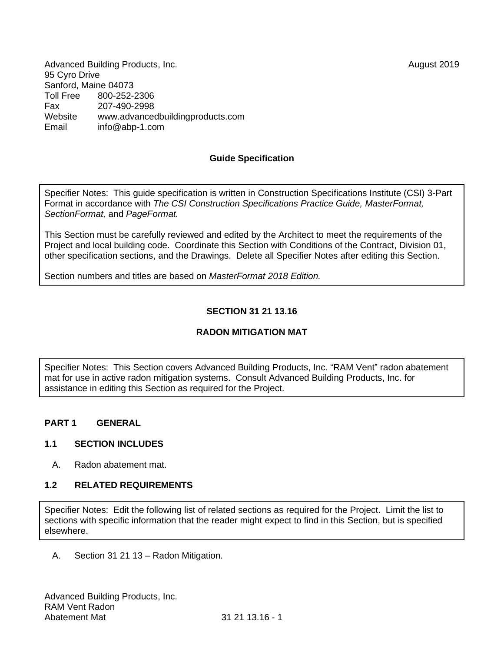Advanced Building Products, Inc. August 2019 95 Cyro Drive Sanford, Maine 04073<br>Toll Free 800-252-3 Toll Free 800-252-2306 Fax 207-490-2998 Website [www.advancedbuildingproducts.com](http://www.advancedbuildingproducts.com/) Email inf[o@abp-1.com](mailto:bbb@aaaa.com)

#### **Guide Specification**

Specifier Notes: This guide specification is written in Construction Specifications Institute (CSI) 3-Part Format in accordance with *The CSI Construction Specifications Practice Guide, MasterFormat, SectionFormat,* and *PageFormat.*

This Section must be carefully reviewed and edited by the Architect to meet the requirements of the Project and local building code. Coordinate this Section with Conditions of the Contract, Division 01, other specification sections, and the Drawings. Delete all Specifier Notes after editing this Section.

Section numbers and titles are based on *MasterFormat 2018 Edition.*

# **SECTION 31 21 13.16**

# **RADON MITIGATION MAT**

Specifier Notes: This Section covers Advanced Building Products, Inc. "RAM Vent" radon abatement mat for use in active radon mitigation systems. Consult Advanced Building Products, Inc. for assistance in editing this Section as required for the Project.

# **PART 1 GENERAL**

#### **1.1 SECTION INCLUDES**

A. Radon abatement mat.

# **1.2 RELATED REQUIREMENTS**

Specifier Notes: Edit the following list of related sections as required for the Project. Limit the list to sections with specific information that the reader might expect to find in this Section, but is specified elsewhere.

A. Section 31 21 13 – Radon Mitigation.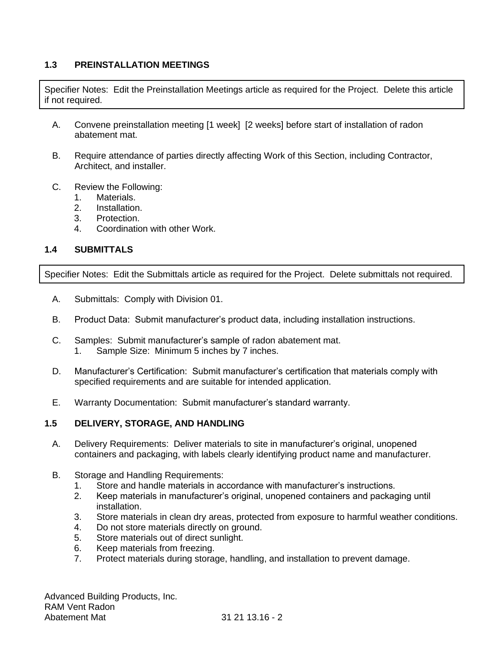# **1.3 PREINSTALLATION MEETINGS**

Specifier Notes: Edit the Preinstallation Meetings article as required for the Project. Delete this article if not required.

- A. Convene preinstallation meeting [1 week] [2 weeks] before start of installation of radon abatement mat.
- B. Require attendance of parties directly affecting Work of this Section, including Contractor, Architect, and installer.
- C. Review the Following:
	- 1. Materials.
	- 2. Installation.
	- 3. Protection.
	- 4. Coordination with other Work.

# **1.4 SUBMITTALS**

Specifier Notes: Edit the Submittals article as required for the Project. Delete submittals not required.

- A. Submittals: Comply with Division 01.
- B. Product Data: Submit manufacturer's product data, including installation instructions.
- C. Samples: Submit manufacturer's sample of radon abatement mat. 1. Sample Size: Minimum 5 inches by 7 inches.
- D. Manufacturer's Certification: Submit manufacturer's certification that materials comply with specified requirements and are suitable for intended application.
- E. Warranty Documentation: Submit manufacturer's standard warranty.

# **1.5 DELIVERY, STORAGE, AND HANDLING**

- A. Delivery Requirements: Deliver materials to site in manufacturer's original, unopened containers and packaging, with labels clearly identifying product name and manufacturer.
- B. Storage and Handling Requirements:
	- 1. Store and handle materials in accordance with manufacturer's instructions.
	- 2. Keep materials in manufacturer's original, unopened containers and packaging until installation.
	- 3. Store materials in clean dry areas, protected from exposure to harmful weather conditions.
	- 4. Do not store materials directly on ground.
	- 5. Store materials out of direct sunlight.
	- 6. Keep materials from freezing.
	- 7. Protect materials during storage, handling, and installation to prevent damage.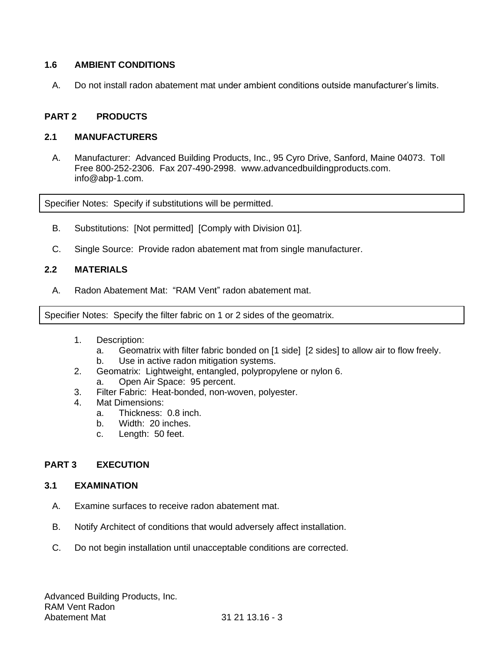# **1.6 AMBIENT CONDITIONS**

A. Do not install radon abatement mat under ambient conditions outside manufacturer's limits.

### **PART 2 PRODUCTS**

### **2.1 MANUFACTURERS**

A. Manufacturer: Advanced Building Products, Inc., 95 Cyro Drive, Sanford, Maine 04073. Toll Free 800-252-2306. Fax 207-490-2998. [www.advancedbuildingproducts.com.](http://www.advancedbuildingproducts.com/) info@abp-1.com.

Specifier Notes: Specify if substitutions will be permitted.

- B. Substitutions: [Not permitted] [Comply with Division 01].
- C. Single Source: Provide radon abatement mat from single manufacturer.

#### **2.2 MATERIALS**

A. Radon Abatement Mat: "RAM Vent" radon abatement mat.

Specifier Notes: Specify the filter fabric on 1 or 2 sides of the geomatrix.

- 1. Description:
	- a. Geomatrix with filter fabric bonded on [1 side] [2 sides] to allow air to flow freely.
	- b. Use in active radon mitigation systems.
- 2. Geomatrix: Lightweight, entangled, polypropylene or nylon 6.
	- a. Open Air Space: 95 percent.
- 3. Filter Fabric: Heat-bonded, non-woven, polyester.
- 4. Mat Dimensions:
	- a. Thickness: 0.8 inch.
	- b. Width: 20 inches.
	- c. Length: 50 feet.

# **PART 3 EXECUTION**

#### **3.1 EXAMINATION**

- A. Examine surfaces to receive radon abatement mat.
- B. Notify Architect of conditions that would adversely affect installation.
- C. Do not begin installation until unacceptable conditions are corrected.